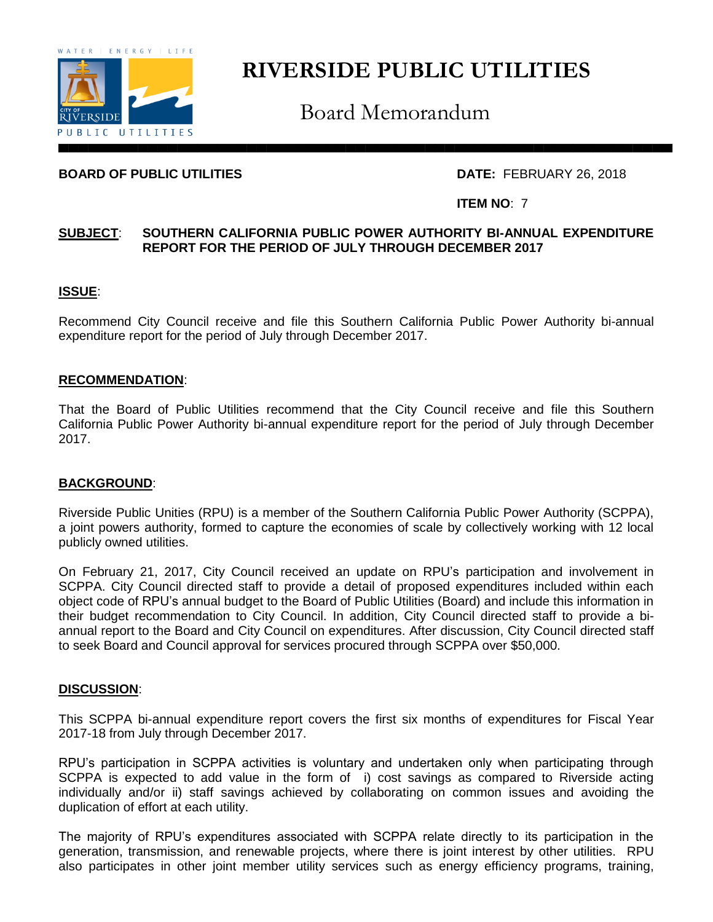

# **RIVERSIDE PUBLIC UTILITIES**

Board Memorandum

# **BOARD OF PUBLIC UTILITIES** DATE: FEBRUARY 26, 2018

## **ITEM NO**: 7

# **SUBJECT**: **SOUTHERN CALIFORNIA PUBLIC POWER AUTHORITY BI-ANNUAL EXPENDITURE REPORT FOR THE PERIOD OF JULY THROUGH DECEMBER 2017**

# **ISSUE**:

Recommend City Council receive and file this Southern California Public Power Authority bi-annual expenditure report for the period of July through December 2017.

#### **RECOMMENDATION**:

That the Board of Public Utilities recommend that the City Council receive and file this Southern California Public Power Authority bi-annual expenditure report for the period of July through December 2017.

## **BACKGROUND**:

Riverside Public Unities (RPU) is a member of the Southern California Public Power Authority (SCPPA), a joint powers authority, formed to capture the economies of scale by collectively working with 12 local publicly owned utilities.

On February 21, 2017, City Council received an update on RPU's participation and involvement in SCPPA. City Council directed staff to provide a detail of proposed expenditures included within each object code of RPU's annual budget to the Board of Public Utilities (Board) and include this information in their budget recommendation to City Council. In addition, City Council directed staff to provide a biannual report to the Board and City Council on expenditures. After discussion, City Council directed staff to seek Board and Council approval for services procured through SCPPA over \$50,000.

#### **DISCUSSION**:

This SCPPA bi-annual expenditure report covers the first six months of expenditures for Fiscal Year 2017-18 from July through December 2017.

RPU's participation in SCPPA activities is voluntary and undertaken only when participating through SCPPA is expected to add value in the form of i) cost savings as compared to Riverside acting individually and/or ii) staff savings achieved by collaborating on common issues and avoiding the duplication of effort at each utility.

The majority of RPU's expenditures associated with SCPPA relate directly to its participation in the generation, transmission, and renewable projects, where there is joint interest by other utilities. RPU also participates in other joint member utility services such as energy efficiency programs, training,